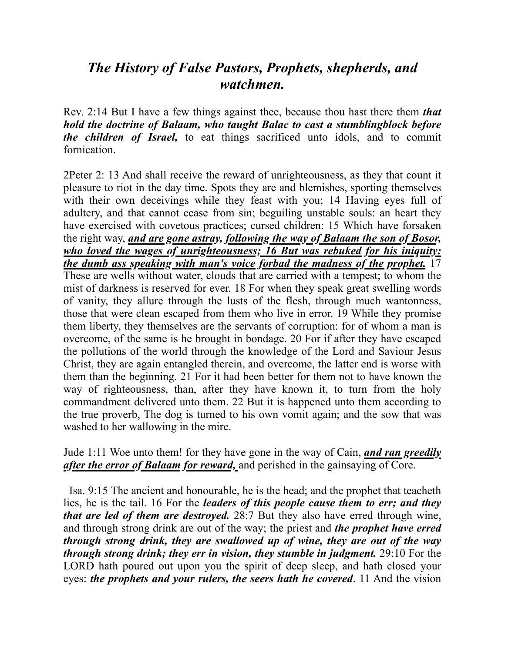## *The History of False Pastors, Prophets, shepherds, and watchmen.*

Rev. 2:14 But I have a few things against thee, because thou hast there them *that hold the doctrine of Balaam, who taught Balac to cast a stumblingblock before the children of Israel,* to eat things sacrificed unto idols, and to commit fornication.

2Peter 2: 13 And shall receive the reward of unrighteousness, as they that count it pleasure to riot in the day time. Spots they are and blemishes, sporting themselves with their own deceivings while they feast with you; 14 Having eyes full of adultery, and that cannot cease from sin; beguiling unstable souls: an heart they have exercised with covetous practices; cursed children: 15 Which have forsaken the right way, *and are gone astray, following the way of Balaam the son of Bosor, who loved the wages of unrighteousness; 16 But was rebuked for his iniquity: the dumb ass speaking with man's voice forbad the madness of the prophet.* 17 These are wells without water, clouds that are carried with a tempest; to whom the mist of darkness is reserved for ever. 18 For when they speak great swelling words of vanity, they allure through the lusts of the flesh, through much wantonness, those that were clean escaped from them who live in error. 19 While they promise them liberty, they themselves are the servants of corruption: for of whom a man is overcome, of the same is he brought in bondage. 20 For if after they have escaped the pollutions of the world through the knowledge of the Lord and Saviour Jesus Christ, they are again entangled therein, and overcome, the latter end is worse with them than the beginning. 21 For it had been better for them not to have known the way of righteousness, than, after they have known it, to turn from the holy commandment delivered unto them. 22 But it is happened unto them according to the true proverb, The dog is turned to his own vomit again; and the sow that was washed to her wallowing in the mire.

Jude 1:11 Woe unto them! for they have gone in the way of Cain, *and ran greedily after the error of Balaam for reward,* and perished in the gainsaying of Core.

 Isa. 9:15 The ancient and honourable, he is the head; and the prophet that teacheth lies, he is the tail. 16 For the *leaders of this people cause them to err; and they that are led of them are destroyed.* 28:7 But they also have erred through wine, and through strong drink are out of the way; the priest and *the prophet have erred through strong drink, they are swallowed up of wine, they are out of the way through strong drink; they err in vision, they stumble in judgment.* 29:10 For the LORD hath poured out upon you the spirit of deep sleep, and hath closed your eyes: *the prophets and your rulers, the seers hath he covered*. 11 And the vision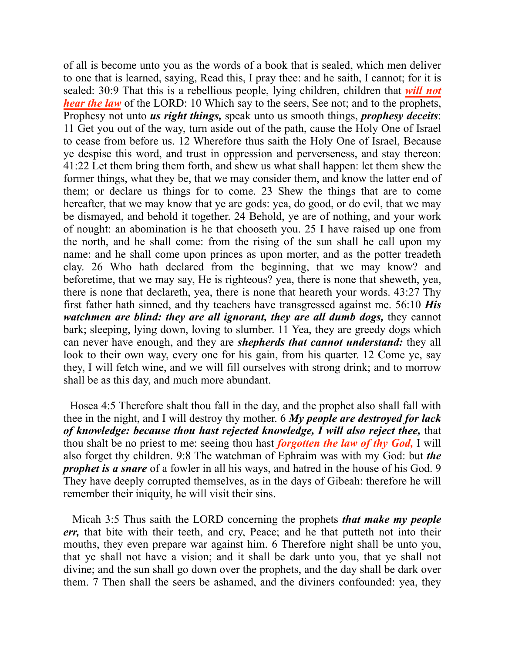of all is become unto you as the words of a book that is sealed, which men deliver to one that is learned, saying, Read this, I pray thee: and he saith, I cannot; for it is sealed: 30:9 That this is a rebellious people, lying children, children that *will not hear the law* of the LORD: 10 Which say to the seers, See not; and to the prophets, Prophesy not unto *us right things,* speak unto us smooth things, *prophesy deceits*: 11 Get you out of the way, turn aside out of the path, cause the Holy One of Israel to cease from before us. 12 Wherefore thus saith the Holy One of Israel, Because ye despise this word, and trust in oppression and perverseness, and stay thereon: 41:22 Let them bring them forth, and shew us what shall happen: let them shew the former things, what they be, that we may consider them, and know the latter end of them; or declare us things for to come. 23 Shew the things that are to come hereafter, that we may know that ye are gods: yea, do good, or do evil, that we may be dismayed, and behold it together. 24 Behold, ye are of nothing, and your work of nought: an abomination is he that chooseth you. 25 I have raised up one from the north, and he shall come: from the rising of the sun shall he call upon my name: and he shall come upon princes as upon morter, and as the potter treadeth clay. 26 Who hath declared from the beginning, that we may know? and beforetime, that we may say, He is righteous? yea, there is none that sheweth, yea, there is none that declareth, yea, there is none that heareth your words. 43:27 Thy first father hath sinned, and thy teachers have transgressed against me. 56:10 *His watchmen are blind: they are all ignorant, they are all dumb dogs,* they cannot bark; sleeping, lying down, loving to slumber. 11 Yea, they are greedy dogs which can never have enough, and they are *shepherds that cannot understand:* they all look to their own way, every one for his gain, from his quarter. 12 Come ye, say they, I will fetch wine, and we will fill ourselves with strong drink; and to morrow shall be as this day, and much more abundant.

 Hosea 4:5 Therefore shalt thou fall in the day, and the prophet also shall fall with thee in the night, and I will destroy thy mother. 6 *My people are destroyed for lack of knowledge: because thou hast rejected knowledge, I will also reject thee,* that thou shalt be no priest to me: seeing thou hast *forgotten the law of thy God,* I will also forget thy children. 9:8 The watchman of Ephraim was with my God: but *the prophet is a snare* of a fowler in all his ways, and hatred in the house of his God. 9 They have deeply corrupted themselves, as in the days of Gibeah: therefore he will remember their iniquity, he will visit their sins.

 Micah 3:5 Thus saith the LORD concerning the prophets *that make my people err,* that bite with their teeth, and cry, Peace; and he that putteth not into their mouths, they even prepare war against him. 6 Therefore night shall be unto you, that ye shall not have a vision; and it shall be dark unto you, that ye shall not divine; and the sun shall go down over the prophets, and the day shall be dark over them. 7 Then shall the seers be ashamed, and the diviners confounded: yea, they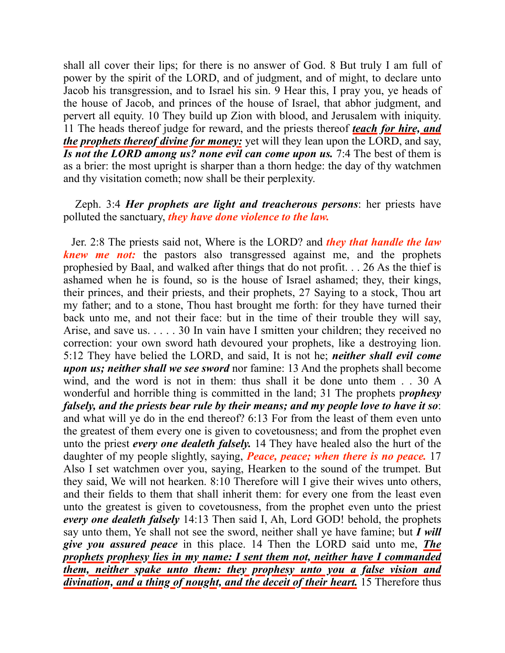shall all cover their lips; for there is no answer of God. 8 But truly I am full of power by the spirit of the LORD, and of judgment, and of might, to declare unto Jacob his transgression, and to Israel his sin. 9 Hear this, I pray you, ye heads of the house of Jacob, and princes of the house of Israel, that abhor judgment, and pervert all equity. 10 They build up Zion with blood, and Jerusalem with iniquity. 11 The heads thereof judge for reward, and the priests thereof *teach for hire, and the prophets thereof divine for money:* yet will they lean upon the LORD, and say, *Is not the LORD among us? none evil can come upon us.* 7:4 The best of them is as a brier: the most upright is sharper than a thorn hedge: the day of thy watchmen and thy visitation cometh; now shall be their perplexity.

## Zeph. 3:4 *Her prophets are light and treacherous persons*: her priests have polluted the sanctuary, *they have done violence to the law.*

 Jer. 2:8 The priests said not, Where is the LORD? and *they that handle the law knew me not:* the pastors also transgressed against me, and the prophets prophesied by Baal, and walked after things that do not profit. . . 26 As the thief is ashamed when he is found, so is the house of Israel ashamed; they, their kings, their princes, and their priests, and their prophets, 27 Saying to a stock, Thou art my father; and to a stone, Thou hast brought me forth: for they have turned their back unto me, and not their face: but in the time of their trouble they will say, Arise, and save us. . . . . 30 In vain have I smitten your children; they received no correction: your own sword hath devoured your prophets, like a destroying lion. 5:12 They have belied the LORD, and said, It is not he; *neither shall evil come upon us; neither shall we see sword* nor famine: 13 And the prophets shall become wind, and the word is not in them: thus shall it be done unto them . . 30 A wonderful and horrible thing is committed in the land; 31 The prophets p*rophesy falsely, and the priests bear rule by their means; and my people love to have it so*: and what will ye do in the end thereof? 6:13 For from the least of them even unto the greatest of them every one is given to covetousness; and from the prophet even unto the priest *every one dealeth falsely.* 14 They have healed also the hurt of the daughter of my people slightly, saying, *Peace, peace; when there is no peace.* 17 Also I set watchmen over you, saying, Hearken to the sound of the trumpet. But they said, We will not hearken. 8:10 Therefore will I give their wives unto others, and their fields to them that shall inherit them: for every one from the least even unto the greatest is given to covetousness, from the prophet even unto the priest *every one dealeth falsely* 14:13 Then said I, Ah, Lord GOD! behold, the prophets say unto them, Ye shall not see the sword, neither shall ye have famine; but *I will give you assured peace* in this place. 14 Then the LORD said unto me, *The prophets prophesy lies in my name: I sent them not, neither have I commanded them, neither spake unto them: they prophesy unto you a false vision and divination, and a thing of nought, and the deceit of their heart.* 15 Therefore thus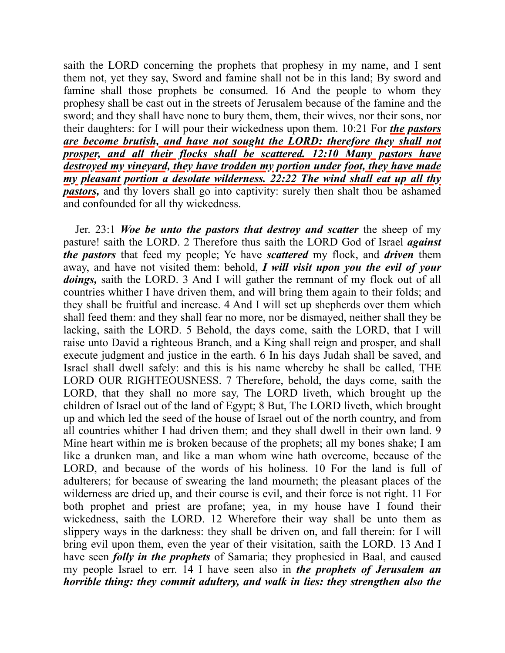saith the LORD concerning the prophets that prophesy in my name, and I sent them not, yet they say, Sword and famine shall not be in this land; By sword and famine shall those prophets be consumed. 16 And the people to whom they prophesy shall be cast out in the streets of Jerusalem because of the famine and the sword; and they shall have none to bury them, them, their wives, nor their sons, nor their daughters: for I will pour their wickedness upon them. 10:21 For *the pastors are become brutish, and have not sought the LORD: therefore they shall not prosper, and all their flocks shall be scattered. 12:10 Many pastors have destroyed my vineyard, they have trodden my portion under foot, they have made my pleasant portion a desolate wilderness. 22:22 The wind shall eat up all thy pastors*, and thy lovers shall go into captivity: surely then shalt thou be ashamed and confounded for all thy wickedness.

 Jer. 23:1 *Woe be unto the pastors that destroy and scatter* the sheep of my pasture! saith the LORD. 2 Therefore thus saith the LORD God of Israel *against the pastors* that feed my people; Ye have *scattered* my flock, and *driven* them away, and have not visited them: behold, *I will visit upon you the evil of your doings*, saith the LORD. 3 And I will gather the remnant of my flock out of all countries whither I have driven them, and will bring them again to their folds; and they shall be fruitful and increase. 4 And I will set up shepherds over them which shall feed them: and they shall fear no more, nor be dismayed, neither shall they be lacking, saith the LORD. 5 Behold, the days come, saith the LORD, that I will raise unto David a righteous Branch, and a King shall reign and prosper, and shall execute judgment and justice in the earth. 6 In his days Judah shall be saved, and Israel shall dwell safely: and this is his name whereby he shall be called, THE LORD OUR RIGHTEOUSNESS. 7 Therefore, behold, the days come, saith the LORD, that they shall no more say, The LORD liveth, which brought up the children of Israel out of the land of Egypt; 8 But, The LORD liveth, which brought up and which led the seed of the house of Israel out of the north country, and from all countries whither I had driven them; and they shall dwell in their own land. 9 Mine heart within me is broken because of the prophets; all my bones shake; I am like a drunken man, and like a man whom wine hath overcome, because of the LORD, and because of the words of his holiness. 10 For the land is full of adulterers; for because of swearing the land mourneth; the pleasant places of the wilderness are dried up, and their course is evil, and their force is not right. 11 For both prophet and priest are profane; yea, in my house have I found their wickedness, saith the LORD. 12 Wherefore their way shall be unto them as slippery ways in the darkness: they shall be driven on, and fall therein: for I will bring evil upon them, even the year of their visitation, saith the LORD. 13 And I have seen *folly in the prophets* of Samaria; they prophesied in Baal, and caused my people Israel to err. 14 I have seen also in *the prophets of Jerusalem an horrible thing: they commit adultery, and walk in lies: they strengthen also the*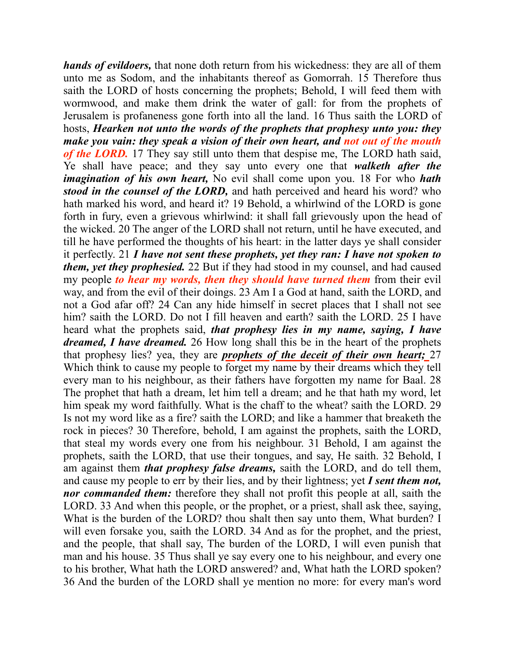*hands of evildoers,* that none doth return from his wickedness: they are all of them unto me as Sodom, and the inhabitants thereof as Gomorrah. 15 Therefore thus saith the LORD of hosts concerning the prophets; Behold, I will feed them with wormwood, and make them drink the water of gall: for from the prophets of Jerusalem is profaneness gone forth into all the land. 16 Thus saith the LORD of hosts, *Hearken not unto the words of the prophets that prophesy unto you: they make you vain: they speak a vision of their own heart, and not out of the mouth of the LORD.* 17 They say still unto them that despise me, The LORD hath said, Ye shall have peace; and they say unto every one that *walketh after the imagination of his own heart,* No evil shall come upon you. 18 For who *hath stood in the counsel of the LORD,* and hath perceived and heard his word? who hath marked his word, and heard it? 19 Behold, a whirlwind of the LORD is gone forth in fury, even a grievous whirlwind: it shall fall grievously upon the head of the wicked. 20 The anger of the LORD shall not return, until he have executed, and till he have performed the thoughts of his heart: in the latter days ye shall consider it perfectly. 21 *I have not sent these prophets, yet they ran: I have not spoken to them, yet they prophesied.* 22 But if they had stood in my counsel, and had caused my people *to hear my words, then they should have turned them* from their evil way, and from the evil of their doings. 23 Am I a God at hand, saith the LORD, and not a God afar off? 24 Can any hide himself in secret places that I shall not see him? saith the LORD. Do not I fill heaven and earth? saith the LORD. 25 I have heard what the prophets said, *that prophesy lies in my name, saying, I have dreamed, I have dreamed.* 26 How long shall this be in the heart of the prophets that prophesy lies? yea, they are *prophets of the deceit of their own heart;* 27 Which think to cause my people to forget my name by their dreams which they tell every man to his neighbour, as their fathers have forgotten my name for Baal. 28 The prophet that hath a dream, let him tell a dream; and he that hath my word, let him speak my word faithfully. What is the chaff to the wheat? saith the LORD. 29 Is not my word like as a fire? saith the LORD; and like a hammer that breaketh the rock in pieces? 30 Therefore, behold, I am against the prophets, saith the LORD, that steal my words every one from his neighbour. 31 Behold, I am against the prophets, saith the LORD, that use their tongues, and say, He saith. 32 Behold, I am against them *that prophesy false dreams,* saith the LORD, and do tell them, and cause my people to err by their lies, and by their lightness; yet *I sent them not, nor commanded them:* therefore they shall not profit this people at all, saith the LORD. 33 And when this people, or the prophet, or a priest, shall ask thee, saying, What is the burden of the LORD? thou shalt then say unto them, What burden? I will even forsake you, saith the LORD. 34 And as for the prophet, and the priest, and the people, that shall say, The burden of the LORD, I will even punish that man and his house. 35 Thus shall ye say every one to his neighbour, and every one to his brother, What hath the LORD answered? and, What hath the LORD spoken? 36 And the burden of the LORD shall ye mention no more: for every man's word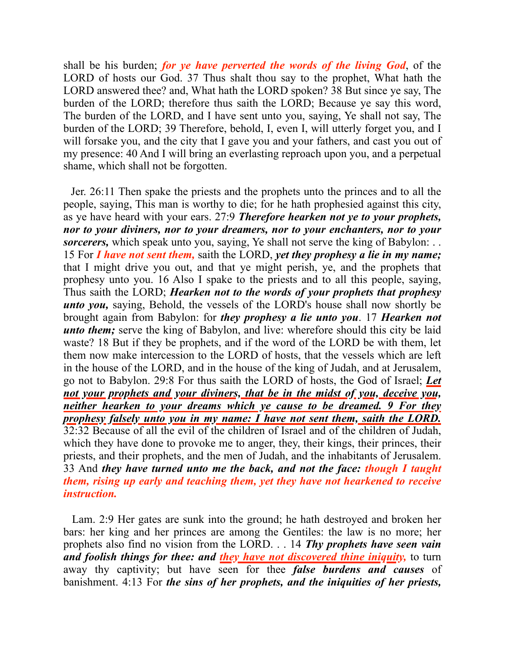shall be his burden; *for ye have perverted the words of the living God*, of the LORD of hosts our God. 37 Thus shalt thou say to the prophet, What hath the LORD answered thee? and, What hath the LORD spoken? 38 But since ye say, The burden of the LORD; therefore thus saith the LORD; Because ye say this word, The burden of the LORD, and I have sent unto you, saying, Ye shall not say, The burden of the LORD; 39 Therefore, behold, I, even I, will utterly forget you, and I will forsake you, and the city that I gave you and your fathers, and cast you out of my presence: 40 And I will bring an everlasting reproach upon you, and a perpetual shame, which shall not be forgotten.

 Jer. 26:11 Then spake the priests and the prophets unto the princes and to all the people, saying, This man is worthy to die; for he hath prophesied against this city, as ye have heard with your ears. 27:9 *Therefore hearken not ye to your prophets, nor to your diviners, nor to your dreamers, nor to your enchanters, nor to your sorcerers*, which speak unto you, saying, Ye shall not serve the king of Babylon: . . 15 For *I have not sent them,* saith the LORD, *yet they prophesy a lie in my name;* that I might drive you out, and that ye might perish, ye, and the prophets that prophesy unto you. 16 Also I spake to the priests and to all this people, saying, Thus saith the LORD; *Hearken not to the words of your prophets that prophesy unto you,* saying, Behold, the vessels of the LORD's house shall now shortly be brought again from Babylon: for *they prophesy a lie unto you*. 17 *Hearken not unto them;* serve the king of Babylon, and live: wherefore should this city be laid waste? 18 But if they be prophets, and if the word of the LORD be with them, let them now make intercession to the LORD of hosts, that the vessels which are left in the house of the LORD, and in the house of the king of Judah, and at Jerusalem, go not to Babylon. 29:8 For thus saith the LORD of hosts, the God of Israel; *Let not your prophets and your diviners, that be in the midst of you, deceive you, neither hearken to your dreams which ye cause to be dreamed. 9 For they prophesy falsely unto you in my name: I have not sent them, saith the LORD.* 32:32 Because of all the evil of the children of Israel and of the children of Judah, which they have done to provoke me to anger, they, their kings, their princes, their priests, and their prophets, and the men of Judah, and the inhabitants of Jerusalem. 33 And *they have turned unto me the back, and not the face: though I taught them, rising up early and teaching them, yet they have not hearkened to receive instruction.* 

 Lam. 2:9 Her gates are sunk into the ground; he hath destroyed and broken her bars: her king and her princes are among the Gentiles: the law is no more; her prophets also find no vision from the LORD. . . 14 *Thy prophets have seen vain and foolish things for thee: and they have not discovered thine iniquity,* to turn away thy captivity; but have seen for thee *false burdens and causes* of banishment. 4:13 For *the sins of her prophets, and the iniquities of her priests,*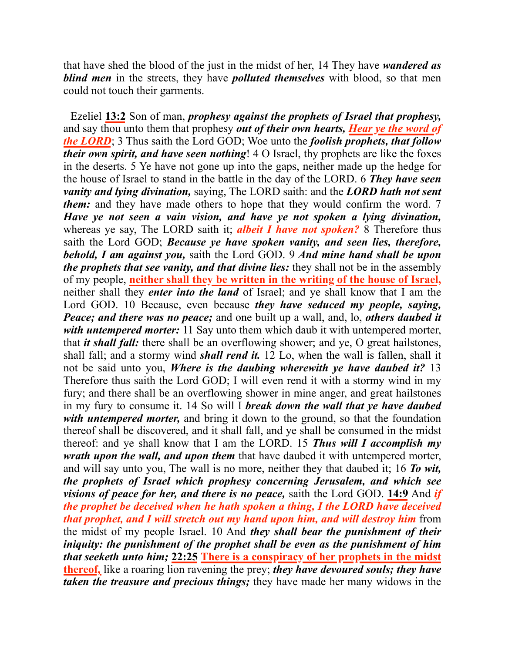that have shed the blood of the just in the midst of her, 14 They have *wandered as blind men* in the streets, they have *polluted themselves* with blood, so that men could not touch their garments.

 Ezeliel **13:2** Son of man, *prophesy against the prophets of Israel that prophesy,*  and say thou unto them that prophesy *out of their own hearts, Hear ye the word of the LORD*; 3 Thus saith the Lord GOD; Woe unto the *foolish prophets, that follow their own spirit, and have seen nothing*! 4 O Israel, thy prophets are like the foxes in the deserts. 5 Ye have not gone up into the gaps, neither made up the hedge for the house of Israel to stand in the battle in the day of the LORD. 6 *They have seen vanity and lying divination,* saying, The LORD saith: and the *LORD hath not sent them:* and they have made others to hope that they would confirm the word. 7 *Have ye not seen a vain vision, and have ye not spoken a lying divination,* whereas ye say, The LORD saith it; *albeit I have not spoken?* 8 Therefore thus saith the Lord GOD; *Because ye have spoken vanity, and seen lies, therefore, behold, I am against you,* saith the Lord GOD. 9 *And mine hand shall be upon the prophets that see vanity, and that divine lies:* they shall not be in the assembly of my people, **neither shall they be written in the writing of the house of Israel,** neither shall they *enter into the land* of Israel; and ye shall know that I am the Lord GOD. 10 Because, even because *they have seduced my people, saying, Peace; and there was no peace;* and one built up a wall, and, lo, *others daubed it with untempered morter:* 11 Say unto them which daub it with untempered morter, that *it shall fall:* there shall be an overflowing shower; and ye, O great hailstones, shall fall; and a stormy wind *shall rend it.* 12 Lo, when the wall is fallen, shall it not be said unto you, *Where is the daubing wherewith ye have daubed it?* 13 Therefore thus saith the Lord GOD; I will even rend it with a stormy wind in my fury; and there shall be an overflowing shower in mine anger, and great hailstones in my fury to consume it. 14 So will I *break down the wall that ye have daubed with untempered morter,* and bring it down to the ground, so that the foundation thereof shall be discovered, and it shall fall, and ye shall be consumed in the midst thereof: and ye shall know that I am the LORD. 15 *Thus will I accomplish my wrath upon the wall, and upon them* that have daubed it with untempered morter, and will say unto you, The wall is no more, neither they that daubed it; 16 *To wit, the prophets of Israel which prophesy concerning Jerusalem, and which see visions of peace for her, and there is no peace,* saith the Lord GOD. **14:9** And *if the prophet be deceived when he hath spoken a thing, I the LORD have deceived that prophet, and I will stretch out my hand upon him, and will destroy him* from the midst of my people Israel. 10 And *they shall bear the punishment of their iniquity: the punishment of the prophet shall be even as the punishment of him that seeketh unto him;* **22:25 There is a conspiracy of her prophets in the midst thereof,** like a roaring lion ravening the prey; *they have devoured souls; they have taken the treasure and precious things;* they have made her many widows in the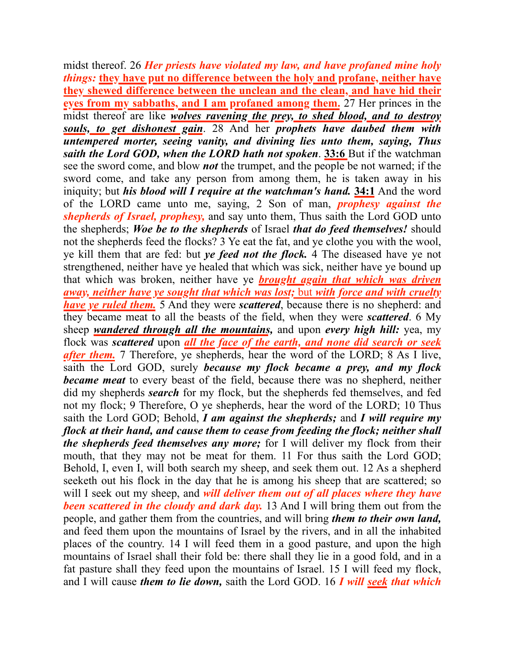midst thereof. 26 *Her priests have violated my law, and have profaned mine holy things:* **they have put no difference between the holy and profane, neither have they shewed difference between the unclean and the clean, and have hid their eyes from my sabbaths, and I am profaned among them.** 27 Her princes in the midst thereof are like *wolves ravening the prey, to shed blood, and to destroy souls, to get dishonest gain*. 28 And her *prophets have daubed them with untempered morter, seeing vanity, and divining lies unto them, saying, Thus saith the Lord GOD, when the LORD hath not spoken*. **33:6** But if the watchman see the sword come, and blow *not* the trumpet, and the people be not warned; if the sword come, and take any person from among them, he is taken away in his iniquity; but *his blood will I require at the watchman's hand.* **34:1** And the word of the LORD came unto me, saying, 2 Son of man, *prophesy against the shepherds of Israel, prophesy,* and say unto them, Thus saith the Lord GOD unto the shepherds; *Woe be to the shepherds* of Israel *that do feed themselves!* should not the shepherds feed the flocks? 3 Ye eat the fat, and ye clothe you with the wool, ye kill them that are fed: but *ye feed not the flock.* 4 The diseased have ye not strengthened, neither have ye healed that which was sick, neither have ye bound up that which was broken, neither have ye *brought again that which was driven away, neither have ye sought that which was lost;* but *with force and with cruelty have ye ruled them.* 5 And they were *scattered*, because there is no shepherd: and they became meat to all the beasts of the field, when they were *scattered*. 6 My sheep *wandered through all the mountains,* and upon *every high hill:* yea, my flock was *scattered* upon *all the face of the earth, and none did search or seek after them.* 7 Therefore, ye shepherds, hear the word of the LORD; 8 As I live, saith the Lord GOD, surely *because my flock became a prey, and my flock became meat* to every beast of the field, because there was no shepherd, neither did my shepherds *search* for my flock, but the shepherds fed themselves, and fed not my flock; 9 Therefore, O ye shepherds, hear the word of the LORD; 10 Thus saith the Lord GOD; Behold, *I am against the shepherds;* and *I will require my flock at their hand, and cause them to cease from feeding the flock; neither shall the shepherds feed themselves any more;* for I will deliver my flock from their mouth, that they may not be meat for them. 11 For thus saith the Lord GOD; Behold, I, even I, will both search my sheep, and seek them out. 12 As a shepherd seeketh out his flock in the day that he is among his sheep that are scattered; so will I seek out my sheep, and *will deliver them out of all places where they have been scattered in the cloudy and dark day.* 13 And I will bring them out from the people, and gather them from the countries, and will bring *them to their own land,* and feed them upon the mountains of Israel by the rivers, and in all the inhabited places of the country. 14 I will feed them in a good pasture, and upon the high mountains of Israel shall their fold be: there shall they lie in a good fold, and in a fat pasture shall they feed upon the mountains of Israel. 15 I will feed my flock, and I will cause *them to lie down,* saith the Lord GOD. 16 *I will seek that which*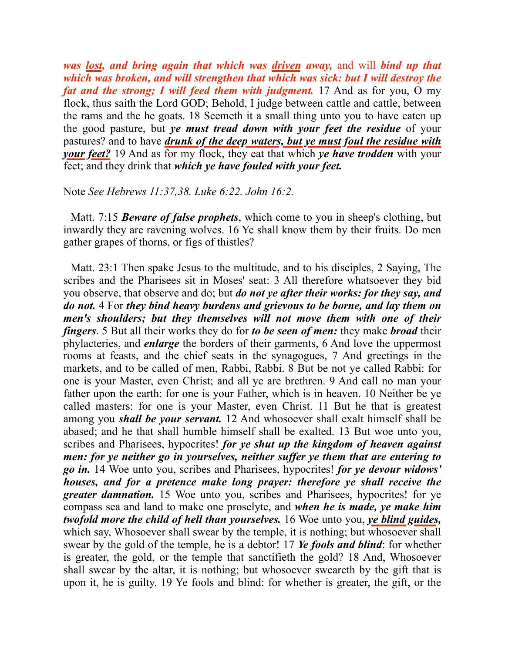*was lost, and bring again that which was driven away,* and will *bind up that which was broken, and will strengthen that which was sick: but I will destroy the fat and the strong; I will feed them with judgment.* 17 And as for you, O my flock, thus saith the Lord GOD; Behold, I judge between cattle and cattle, between the rams and the he goats. 18 Seemeth it a small thing unto you to have eaten up the good pasture, but *ye must tread down with your feet the residue* of your pastures? and to have *drunk of the deep waters, but ye must foul the residue with your feet?* 19 And as for my flock, they eat that which *ye have trodden* with your feet; and they drink that *which ye have fouled with your feet.*

## Note *See Hebrews 11:37,38. Luke 6:22. John 16:2.*

 Matt. 7:15 *Beware of false prophets*, which come to you in sheep's clothing, but inwardly they are ravening wolves. 16 Ye shall know them by their fruits. Do men gather grapes of thorns, or figs of thistles?

 Matt. 23:1 Then spake Jesus to the multitude, and to his disciples, 2 Saying, The scribes and the Pharisees sit in Moses' seat: 3 All therefore whatsoever they bid you observe, that observe and do; but *do not ye after their works: for they say, and do not.* 4 For *they bind heavy burdens and grievous to be borne, and lay them on men's shoulders; but they themselves will not move them with one of their fingers*. 5 But all their works they do for *to be seen of men:* they make *broad* their phylacteries, and *enlarge* the borders of their garments, 6 And love the uppermost rooms at feasts, and the chief seats in the synagogues, 7 And greetings in the markets, and to be called of men, Rabbi, Rabbi. 8 But be not ye called Rabbi: for one is your Master, even Christ; and all ye are brethren. 9 And call no man your father upon the earth: for one is your Father, which is in heaven. 10 Neither be ye called masters: for one is your Master, even Christ. 11 But he that is greatest among you *shall be your servant.* 12 And whosoever shall exalt himself shall be abased; and he that shall humble himself shall be exalted. 13 But woe unto you, scribes and Pharisees, hypocrites! *for ye shut up the kingdom of heaven against men: for ye neither go in yourselves, neither suffer ye them that are entering to go in.* 14 Woe unto you, scribes and Pharisees, hypocrites! *for ye devour widows' houses, and for a pretence make long prayer: therefore ye shall receive the greater damnation.* 15 Woe unto you, scribes and Pharisees, hypocrites! for ye compass sea and land to make one proselyte, and *when he is made, ye make him twofold more the child of hell than yourselves.* 16 Woe unto you, *ye blind guides,* which say, Whosoever shall swear by the temple, it is nothing; but whosoever shall swear by the gold of the temple, he is a debtor! 17 *Ye fools and blind*: for whether is greater, the gold, or the temple that sanctifieth the gold? 18 And, Whosoever shall swear by the altar, it is nothing; but whosoever sweareth by the gift that is upon it, he is guilty. 19 Ye fools and blind: for whether is greater, the gift, or the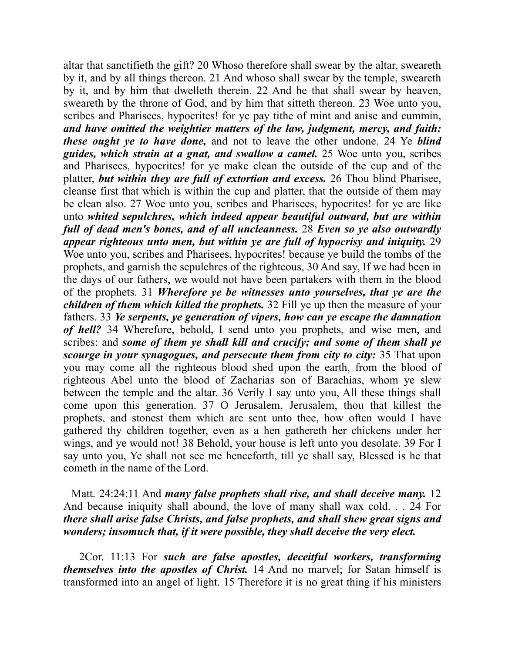altar that sanctifieth the gift? 20 Whoso therefore shall swear by the altar, sweareth by it, and by all things thereon. 21 And whoso shall swear by the temple, sweareth by it, and by him that dwelleth therein. 22 And he that shall swear by heaven, sweareth by the throne of God, and by him that sitteth thereon. 23 Woe unto you, scribes and Pharisees, hypocrites! for ye pay tithe of mint and anise and cummin, *and have omitted the weightier matters of the law, judgment, mercy, and faith: these ought ye to have done,* and not to leave the other undone. 24 Ye *blind guides, which strain at a gnat, and swallow a camel.* 25 Woe unto you, scribes and Pharisees, hypocrites! for ye make clean the outside of the cup and of the platter, *but within they are full of extortion and excess.* 26 Thou blind Pharisee, cleanse first that which is within the cup and platter, that the outside of them may be clean also. 27 Woe unto you, scribes and Pharisees, hypocrites! for ye are like unto *whited sepulchres, which indeed appear beautiful outward, but are within full of dead men's bones, and of all uncleanness.* 28 *Even so ye also outwardly appear righteous unto men, but within ye are full of hypocrisy and iniquity.* 29 Woe unto you, scribes and Pharisees, hypocrites! because ye build the tombs of the prophets, and garnish the sepulchres of the righteous, 30 And say, If we had been in the days of our fathers, we would not have been partakers with them in the blood of the prophets. 31 *Wherefore ye be witnesses unto yourselves, that ye are the children of them which killed the prophets.* 32 Fill ye up then the measure of your fathers. 33 *Ye serpents, ye generation of vipers, how can ye escape the damnation of hell?* 34 Wherefore, behold, I send unto you prophets, and wise men, and scribes: and *some of them ye shall kill and crucify; and some of them shall ye scourge in your synagogues, and persecute them from city to city:* 35 That upon you may come all the righteous blood shed upon the earth, from the blood of righteous Abel unto the blood of Zacharias son of Barachias, whom ye slew between the temple and the altar. 36 Verily I say unto you, All these things shall come upon this generation. 37 O Jerusalem, Jerusalem, thou that killest the prophets, and stonest them which are sent unto thee, how often would I have gathered thy children together, even as a hen gathereth her chickens under her wings, and ye would not! 38 Behold, your house is left unto you desolate. 39 For I say unto you, Ye shall not see me henceforth, till ye shall say, Blessed is he that cometh in the name of the Lord.

 Matt. 24:24:11 And *many false prophets shall rise, and shall deceive many.* 12 And because iniquity shall abound, the love of many shall wax cold. . . 24 For *there shall arise false Christs, and false prophets, and shall shew great signs and wonders; insomuch that, if it were possible, they shall deceive the very elect.*

 2Cor. 11:13 For *such are false apostles, deceitful workers, transforming themselves into the apostles of Christ.* 14 And no marvel; for Satan himself is transformed into an angel of light. 15 Therefore it is no great thing if his ministers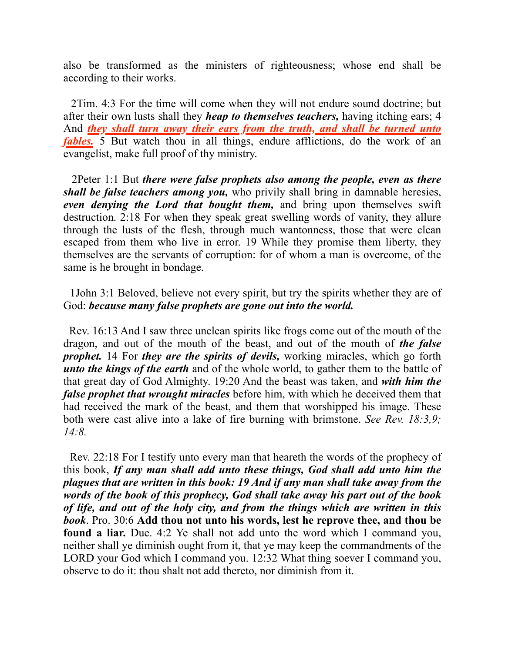also be transformed as the ministers of righteousness; whose end shall be according to their works.

 2Tim. 4:3 For the time will come when they will not endure sound doctrine; but after their own lusts shall they *heap to themselves teachers,* having itching ears; 4 And *they shall turn away their ears from the truth, and shall be turned unto fables.* 5 But watch thou in all things, endure afflictions, do the work of an evangelist, make full proof of thy ministry.

 2Peter 1:1 But *there were false prophets also among the people, even as there shall be false teachers among you,* who privily shall bring in damnable heresies, *even denying the Lord that bought them,* and bring upon themselves swift destruction. 2:18 For when they speak great swelling words of vanity, they allure through the lusts of the flesh, through much wantonness, those that were clean escaped from them who live in error. 19 While they promise them liberty, they themselves are the servants of corruption: for of whom a man is overcome, of the same is he brought in bondage.

 1John 3:1 Beloved, believe not every spirit, but try the spirits whether they are of God: *because many false prophets are gone out into the world.*

 Rev. 16:13 And I saw three unclean spirits like frogs come out of the mouth of the dragon, and out of the mouth of the beast, and out of the mouth of *the false prophet.* 14 For *they are the spirits of devils,* working miracles, which go forth *unto the kings of the earth* and of the whole world, to gather them to the battle of that great day of God Almighty. 19:20 And the beast was taken, and *with him the false prophet that wrought miracles* before him, with which he deceived them that had received the mark of the beast, and them that worshipped his image. These both were cast alive into a lake of fire burning with brimstone. *See Rev. 18:3,9; 14:8.*

 Rev. 22:18 For I testify unto every man that heareth the words of the prophecy of this book, *If any man shall add unto these things, God shall add unto him the plagues that are written in this book: 19 And if any man shall take away from the words of the book of this prophecy, God shall take away his part out of the book of life, and out of the holy city, and from the things which are written in this book*. Pro. 30:6 **Add thou not unto his words, lest he reprove thee, and thou be found a liar.** Due. 4:2 Ye shall not add unto the word which I command you, neither shall ye diminish ought from it, that ye may keep the commandments of the LORD your God which I command you. 12:32 What thing soever I command you, observe to do it: thou shalt not add thereto, nor diminish from it.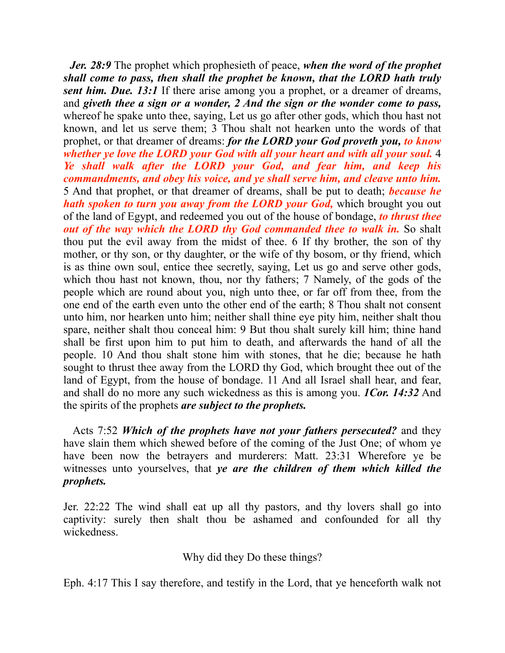*Jer. 28:9* The prophet which prophesieth of peace, *when the word of the prophet shall come to pass, then shall the prophet be known, that the LORD hath truly sent him. Due. 13:1* If there arise among you a prophet, or a dreamer of dreams, and *giveth thee a sign or a wonder, 2 And the sign or the wonder come to pass,* whereof he spake unto thee, saying, Let us go after other gods, which thou hast not known, and let us serve them; 3 Thou shalt not hearken unto the words of that prophet, or that dreamer of dreams: *for the LORD your God proveth you, to know whether ye love the LORD your God with all your heart and with all your soul.* 4 *Ye shall walk after the LORD your God, and fear him, and keep his commandments, and obey his voice, and ye shall serve him, and cleave unto him.* 5 And that prophet, or that dreamer of dreams, shall be put to death; *because he hath spoken to turn you away from the LORD your God,* which brought you out of the land of Egypt, and redeemed you out of the house of bondage, *to thrust thee out of the way which the LORD thy God commanded thee to walk in.* So shalt thou put the evil away from the midst of thee. 6 If thy brother, the son of thy mother, or thy son, or thy daughter, or the wife of thy bosom, or thy friend, which is as thine own soul, entice thee secretly, saying, Let us go and serve other gods, which thou hast not known, thou, nor thy fathers; 7 Namely, of the gods of the people which are round about you, nigh unto thee, or far off from thee, from the one end of the earth even unto the other end of the earth; 8 Thou shalt not consent unto him, nor hearken unto him; neither shall thine eye pity him, neither shalt thou spare, neither shalt thou conceal him: 9 But thou shalt surely kill him; thine hand shall be first upon him to put him to death, and afterwards the hand of all the people. 10 And thou shalt stone him with stones, that he die; because he hath sought to thrust thee away from the LORD thy God, which brought thee out of the land of Egypt, from the house of bondage. 11 And all Israel shall hear, and fear, and shall do no more any such wickedness as this is among you. *1Cor. 14:32* And the spirits of the prophets *are subject to the prophets.*

 Acts 7:52 *Which of the prophets have not your fathers persecuted?* and they have slain them which shewed before of the coming of the Just One; of whom ye have been now the betrayers and murderers: Matt. 23:31 Wherefore ye be witnesses unto yourselves, that *ye are the children of them which killed the prophets.*

Jer. 22:22 The wind shall eat up all thy pastors, and thy lovers shall go into captivity: surely then shalt thou be ashamed and confounded for all thy wickedness.

Why did they Do these things?

Eph. 4:17 This I say therefore, and testify in the Lord, that ye henceforth walk not